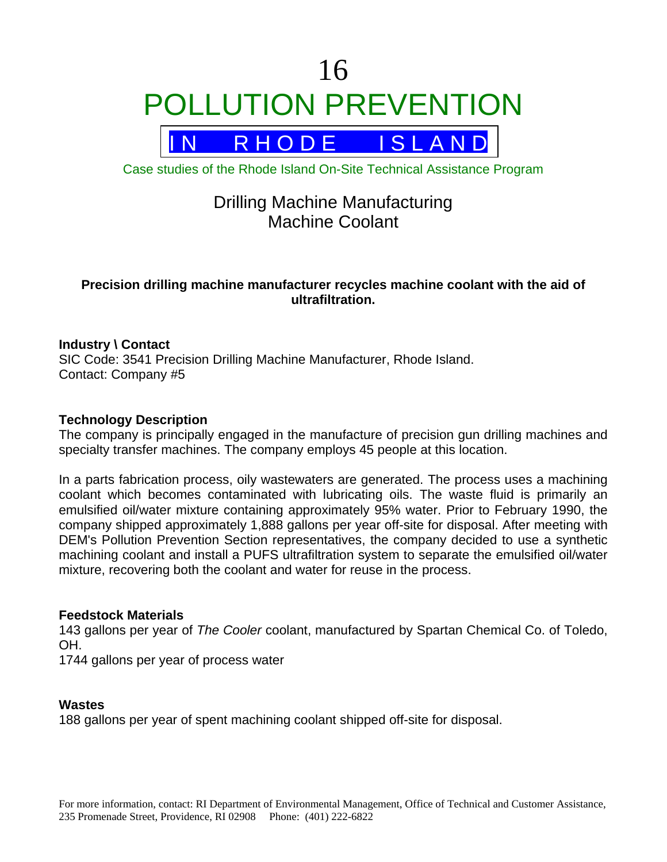# 16 POLLUTION PREVENTION



Case studies of the Rhode Island On-Site Technical Assistance Program

# Drilling Machine Manufacturing Machine Coolant

# **Precision drilling machine manufacturer recycles machine coolant with the aid of ultrafiltration.**

# **Industry \ Contact**

SIC Code: 3541 Precision Drilling Machine Manufacturer, Rhode Island. Contact: Company #5

# **Technology Description**

The company is principally engaged in the manufacture of precision gun drilling machines and specialty transfer machines. The company employs 45 people at this location.

In a parts fabrication process, oily wastewaters are generated. The process uses a machining coolant which becomes contaminated with lubricating oils. The waste fluid is primarily an emulsified oil/water mixture containing approximately 95% water. Prior to February 1990, the company shipped approximately 1,888 gallons per year off-site for disposal. After meeting with DEM's Pollution Prevention Section representatives, the company decided to use a synthetic machining coolant and install a PUFS ultrafiltration system to separate the emulsified oil/water mixture, recovering both the coolant and water for reuse in the process.

# **Feedstock Materials**

143 gallons per year of *The Cooler* coolant, manufactured by Spartan Chemical Co. of Toledo, OH.

1744 gallons per year of process water

#### **Wastes**

188 gallons per year of spent machining coolant shipped off-site for disposal.